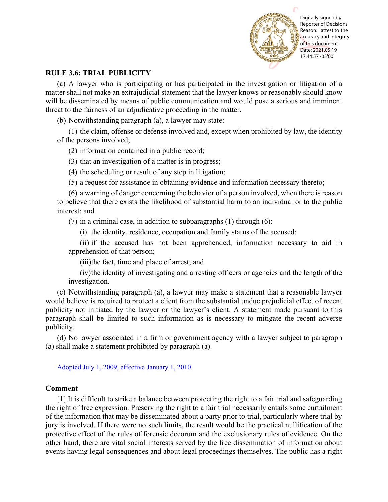

Reporter of Decisions Reason: I attest to the accuracy and integrity of this document Date: 2021.05.19 17:44:57 -05'00'

## **RULE 3.6: TRIAL PUBLICITY**

(a) A lawyer who is participating or has participated in the investigation or litigation of a matter shall not make an extrajudicial statement that the lawyer knows or reasonably should know will be disseminated by means of public communication and would pose a serious and imminent threat to the fairness of an adjudicative proceeding in the matter.

(b) Notwithstanding paragraph (a), a lawyer may state:

(1) the claim, offense or defense involved and, except when prohibited by law, the identity of the persons involved;

(2) information contained in a public record;

(3) that an investigation of a matter is in progress;

(4) the scheduling or result of any step in litigation;

(5) a request for assistance in obtaining evidence and information necessary thereto;

(6) a warning of danger concerning the behavior of a person involved, when there is reason to believe that there exists the likelihood of substantial harm to an individual or to the public interest; and

(7) in a criminal case, in addition to subparagraphs (1) through (6):

(i) the identity, residence, occupation and family status of the accused;

(ii) if the accused has not been apprehended, information necessary to aid in apprehension of that person;

(iii)the fact, time and place of arrest; and

(iv)the identity of investigating and arresting officers or agencies and the length of the investigation.

(c) Notwithstanding paragraph (a), a lawyer may make a statement that a reasonable lawyer would believe is required to protect a client from the substantial undue prejudicial effect of recent publicity not initiated by the lawyer or the lawyer's client. A statement made pursuant to this paragraph shall be limited to such information as is necessary to mitigate the recent adverse publicity.

(d) No lawyer associated in a firm or government agency with a lawyer subject to paragraph (a) shall make a statement prohibited by paragraph (a).

[Adopted July 1, 2009, effective January 1, 2010.](http://www.illinoiscourts.gov/files/070109.pdf/amendment)

## **Comment**

[1] It is difficult to strike a balance between protecting the right to a fair trial and safeguarding the right of free expression. Preserving the right to a fair trial necessarily entails some curtailment of the information that may be disseminated about a party prior to trial, particularly where trial by jury is involved. If there were no such limits, the result would be the practical nullification of the protective effect of the rules of forensic decorum and the exclusionary rules of evidence. On the other hand, there are vital social interests served by the free dissemination of information about **EVERY ALTER ACTIVE CONSERVATIVE ALTER ACTIVE CONSERVATIVE (a)** A lawyer who is participating or has participated in the investigation or litigation of a right of the proceeding themselves are reasonably the matrice of th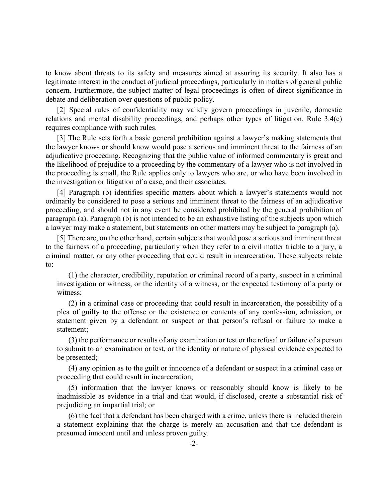to know about threats to its safety and measures aimed at assuring its security. It also has a legitimate interest in the conduct of judicial proceedings, particularly in matters of general public concern. Furthermore, the subject matter of legal proceedings is often of direct significance in debate and deliberation over questions of public policy.

[2] Special rules of confidentiality may validly govern proceedings in juvenile, domestic relations and mental disability proceedings, and perhaps other types of litigation. Rule 3.4(c) requires compliance with such rules.

[3] The Rule sets forth a basic general prohibition against a lawyer's making statements that the lawyer knows or should know would pose a serious and imminent threat to the fairness of an adjudicative proceeding. Recognizing that the public value of informed commentary is great and the likelihood of prejudice to a proceeding by the commentary of a lawyer who is not involved in the proceeding is small, the Rule applies only to lawyers who are, or who have been involved in the investigation or litigation of a case, and their associates.

[4] Paragraph (b) identifies specific matters about which a lawyer's statements would not ordinarily be considered to pose a serious and imminent threat to the fairness of an adjudicative proceeding, and should not in any event be considered prohibited by the general prohibition of paragraph (a). Paragraph (b) is not intended to be an exhaustive listing of the subjects upon which a lawyer may make a statement, but statements on other matters may be subject to paragraph (a).

[5] There are, on the other hand, certain subjects that would pose a serious and imminent threat to the fairness of a proceeding, particularly when they refer to a civil matter triable to a jury, a criminal matter, or any other proceeding that could result in incarceration. These subjects relate to:

(1) the character, credibility, reputation or criminal record of a party, suspect in a criminal investigation or witness, or the identity of a witness, or the expected testimony of a party or witness;

(2) in a criminal case or proceeding that could result in incarceration, the possibility of a plea of guilty to the offense or the existence or contents of any confession, admission, or statement given by a defendant or suspect or that person's refusal or failure to make a statement;

(3) the performance or results of any examination or test or the refusal or failure of a person to submit to an examination or test, or the identity or nature of physical evidence expected to be presented;

(4) any opinion as to the guilt or innocence of a defendant or suspect in a criminal case or proceeding that could result in incarceration;

(5) information that the lawyer knows or reasonably should know is likely to be inadmissible as evidence in a trial and that would, if disclosed, create a substantial risk of prejudicing an impartial trial; or

(6) the fact that a defendant has been charged with a crime, unless there is included therein a statement explaining that the charge is merely an accusation and that the defendant is presumed innocent until and unless proven guilty.